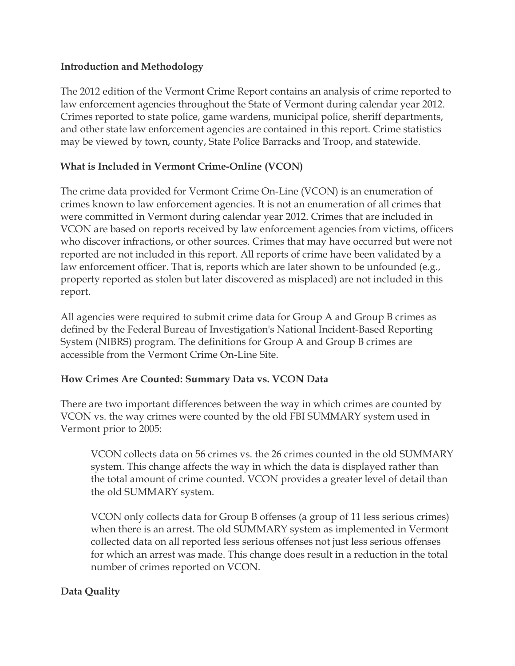## **Introduction and Methodology**

The 2012 edition of the Vermont Crime Report contains an analysis of crime reported to law enforcement agencies throughout the State of Vermont during calendar year 2012. Crimes reported to state police, game wardens, municipal police, sheriff departments, and other state law enforcement agencies are contained in this report. Crime statistics may be viewed by town, county, State Police Barracks and Troop, and statewide.

# **What is Included in Vermont Crime-Online (VCON)**

The crime data provided for Vermont Crime On-Line (VCON) is an enumeration of crimes known to law enforcement agencies. It is not an enumeration of all crimes that were committed in Vermont during calendar year 2012. Crimes that are included in VCON are based on reports received by law enforcement agencies from victims, officers who discover infractions, or other sources. Crimes that may have occurred but were not reported are not included in this report. All reports of crime have been validated by a law enforcement officer. That is, reports which are later shown to be unfounded (e.g., property reported as stolen but later discovered as misplaced) are not included in this report.

All agencies were required to submit crime data for Group A and Group B crimes as defined by the Federal Bureau of Investigation's National Incident-Based Reporting System (NIBRS) program. The definitions for Group A and Group B crimes are accessible from the Vermont Crime On-Line Site.

## **How Crimes Are Counted: Summary Data vs. VCON Data**

There are two important differences between the way in which crimes are counted by VCON vs. the way crimes were counted by the old FBI SUMMARY system used in Vermont prior to 2005:

VCON collects data on 56 crimes vs. the 26 crimes counted in the old SUMMARY system. This change affects the way in which the data is displayed rather than the total amount of crime counted. VCON provides a greater level of detail than the old SUMMARY system.

VCON only collects data for Group B offenses (a group of 11 less serious crimes) when there is an arrest. The old SUMMARY system as implemented in Vermont collected data on all reported less serious offenses not just less serious offenses for which an arrest was made. This change does result in a reduction in the total number of crimes reported on VCON.

## **Data Quality**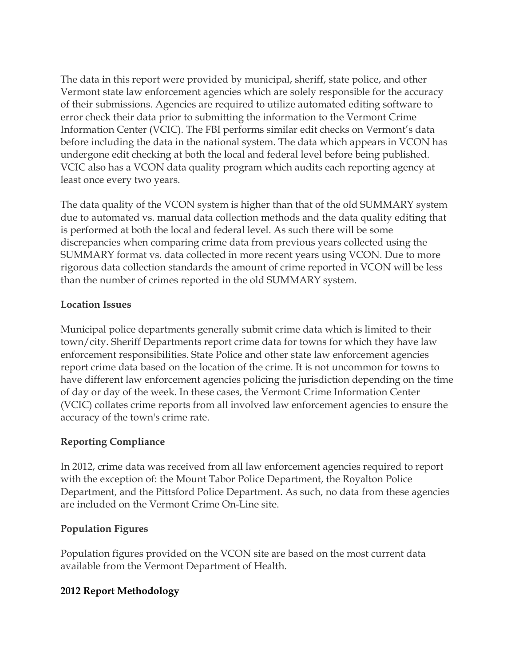The data in this report were provided by municipal, sheriff, state police, and other Vermont state law enforcement agencies which are solely responsible for the accuracy of their submissions. Agencies are required to utilize automated editing software to error check their data prior to submitting the information to the Vermont Crime Information Center (VCIC). The FBI performs similar edit checks on Vermont's data before including the data in the national system. The data which appears in VCON has undergone edit checking at both the local and federal level before being published. VCIC also has a VCON data quality program which audits each reporting agency at least once every two years.

The data quality of the VCON system is higher than that of the old SUMMARY system due to automated vs. manual data collection methods and the data quality editing that is performed at both the local and federal level. As such there will be some discrepancies when comparing crime data from previous years collected using the SUMMARY format vs. data collected in more recent years using VCON. Due to more rigorous data collection standards the amount of crime reported in VCON will be less than the number of crimes reported in the old SUMMARY system.

## **Location Issues**

Municipal police departments generally submit crime data which is limited to their town/city. Sheriff Departments report crime data for towns for which they have law enforcement responsibilities. State Police and other state law enforcement agencies report crime data based on the location of the crime. It is not uncommon for towns to have different law enforcement agencies policing the jurisdiction depending on the time of day or day of the week. In these cases, the Vermont Crime Information Center (VCIC) collates crime reports from all involved law enforcement agencies to ensure the accuracy of the town's crime rate.

## **Reporting Compliance**

In 2012, crime data was received from all law enforcement agencies required to report with the exception of: the Mount Tabor Police Department, the Royalton Police Department, and the Pittsford Police Department. As such, no data from these agencies are included on the Vermont Crime On-Line site.

#### **Population Figures**

Population figures provided on the VCON site are based on the most current data available from the Vermont Department of Health.

## **2012 Report Methodology**